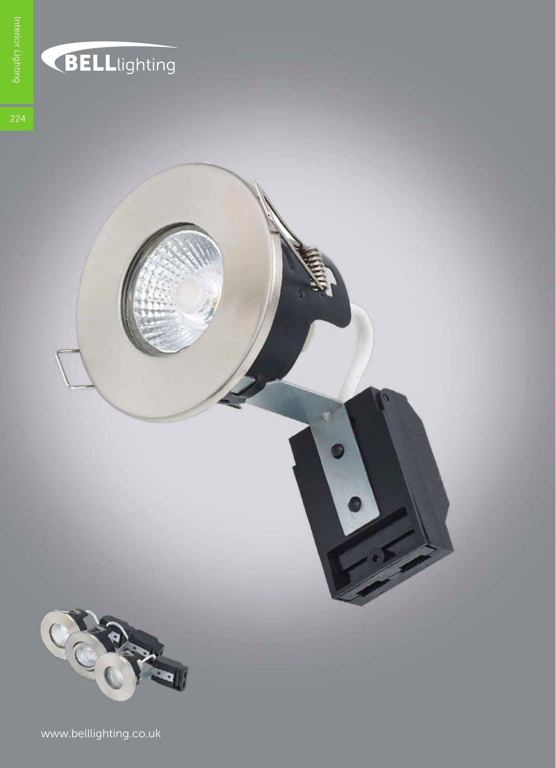

## **BELL**lighting



www.belllighting.co.uk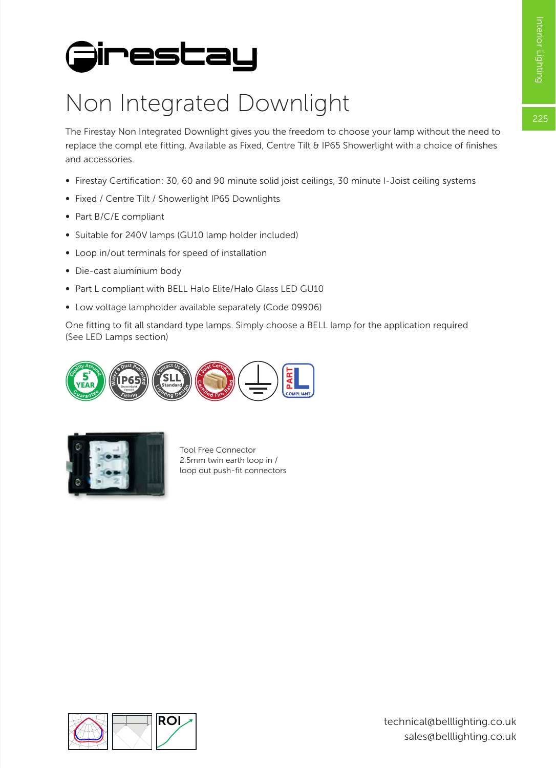225



## Non Integrated Downlight

The Firestay Non Integrated Downlight gives you the freedom to choose your lamp without the need to replace the compl ete fitting. Available as Fixed, Centre Tilt & IP65 Showerlight with a choice of finishes and accessories.

- ∞ Firestay Certification: 30, 60 and 90 minute solid joist ceilings, 30 minute I-Joist ceiling systems
- ∞ Fixed / Centre Tilt / Showerlight IP65 Downlights
- ∞ Part B/C/E compliant
- ∞ Suitable for 240V lamps (GU10 lamp holder included)
- Loop in/out terminals for speed of installation
- ∞ Die-cast aluminium body
- Part L compliant with BELL Halo Elite/Halo Glass LED GU10
- ∞ Low voltage lampholder available separately (Code 09906)

One fitting to fit all standard type lamps. Simply choose a BELL lamp for the application required (See LED Lamps section)





Tool Free Connector 2.5mm twin earth loop in / loop out push-fit connectors

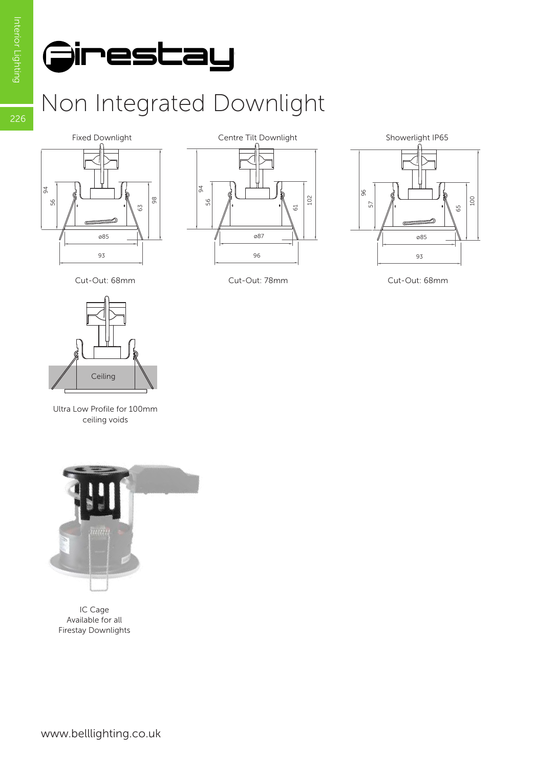

## Non Integrated Downlight







Cut-Out: 68mm

Cut-Out: 78mm

Cut-Out: 68mm



Ultra Low Profile for 100mm 93 ceiling voids



IC Cage Available for all Firestay Downlights

226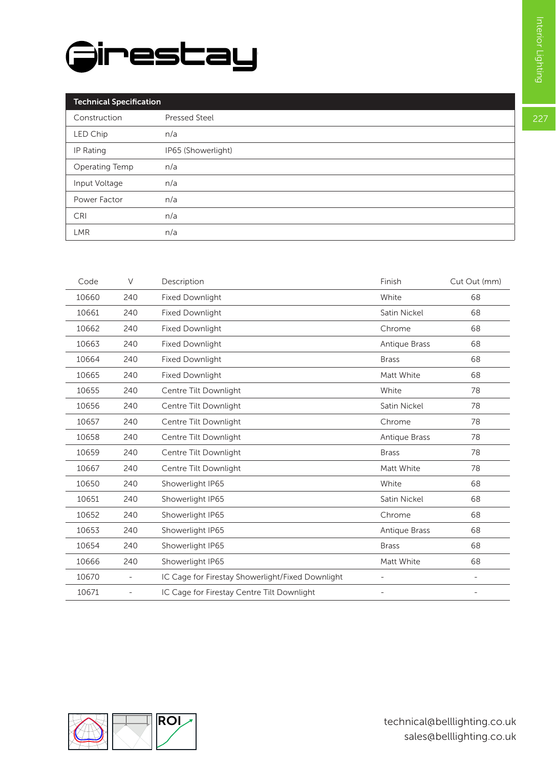

| <b>Technical Specification</b> |                      |  |  |  |
|--------------------------------|----------------------|--|--|--|
| Construction                   | <b>Pressed Steel</b> |  |  |  |
| LED Chip                       | n/a                  |  |  |  |
| IP Rating                      | IP65 (Showerlight)   |  |  |  |
| Operating Temp                 | n/a                  |  |  |  |
| Input Voltage                  | n/a                  |  |  |  |
| Power Factor                   | n/a                  |  |  |  |
| CRI                            | n/a                  |  |  |  |
| LMR                            | n/a                  |  |  |  |

| Code  | V                        | Description                                      | Finish               | Cut Out (mm) |
|-------|--------------------------|--------------------------------------------------|----------------------|--------------|
| 10660 | 240                      | <b>Fixed Downlight</b>                           | White                | 68           |
| 10661 | 240                      | <b>Fixed Downlight</b>                           | Satin Nickel         | 68           |
| 10662 | 240                      | <b>Fixed Downlight</b>                           | Chrome               | 68           |
| 10663 | 240                      | <b>Fixed Downlight</b>                           | Antique Brass        | 68           |
| 10664 | 240                      | <b>Fixed Downlight</b>                           | <b>Brass</b>         | 68           |
| 10665 | 240                      | <b>Fixed Downlight</b>                           | Matt White           | 68           |
| 10655 | 240                      | Centre Tilt Downlight                            | White                | 78           |
| 10656 | 240                      | Centre Tilt Downlight                            | Satin Nickel         | 78           |
| 10657 | 240                      | Centre Tilt Downlight                            | Chrome               | 78           |
| 10658 | 240                      | Centre Tilt Downlight                            | Antique Brass        | 78           |
| 10659 | 240                      | Centre Tilt Downlight                            | <b>Brass</b>         | 78           |
| 10667 | 240                      | Centre Tilt Downlight                            | Matt White           | 78           |
| 10650 | 240                      | Showerlight IP65                                 | White                | 68           |
| 10651 | 240                      | Showerlight IP65                                 | Satin Nickel         | 68           |
| 10652 | 240                      | Showerlight IP65                                 | Chrome               | 68           |
| 10653 | 240                      | Showerlight IP65                                 | <b>Antique Brass</b> | 68           |
| 10654 | 240                      | Showerlight IP65                                 | <b>Brass</b>         | 68           |
| 10666 | 240                      | Showerlight IP65                                 | Matt White           | 68           |
| 10670 | $\overline{\phantom{a}}$ | IC Cage for Firestay Showerlight/Fixed Downlight |                      |              |
| 10671 |                          | IC Cage for Firestay Centre Tilt Downlight       |                      |              |

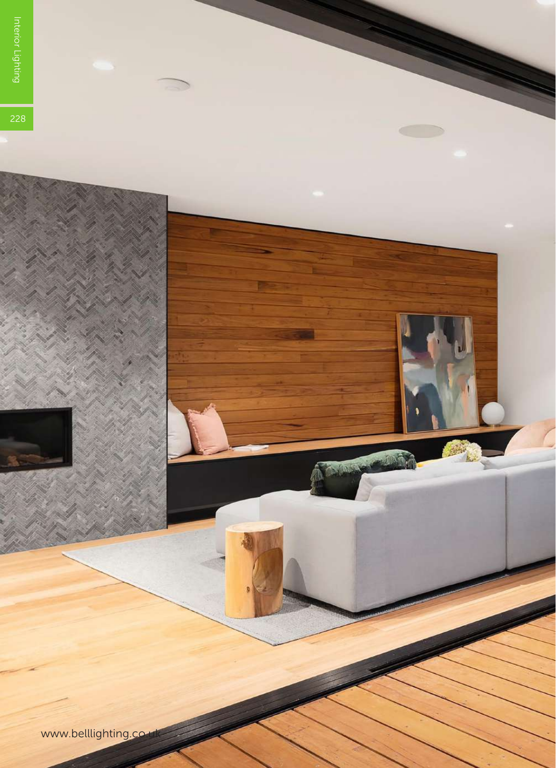